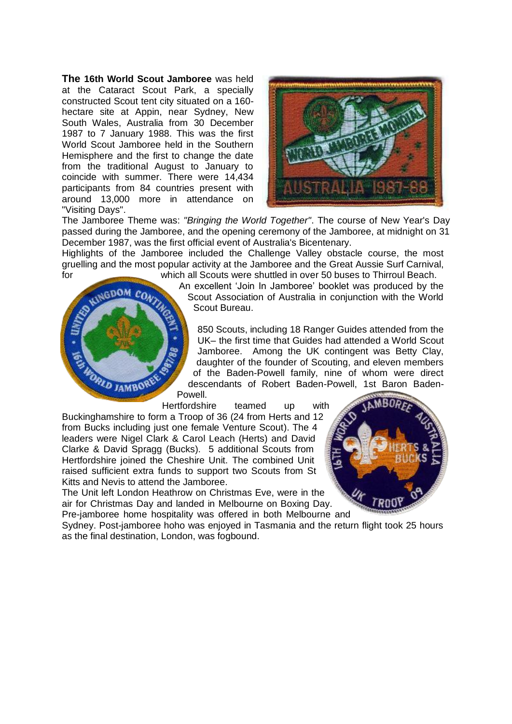**The 16th World Scout Jamboree** was held at the Cataract Scout Park, a specially constructed Scout tent city situated on a 160 hectare site at Appin, near Sydney, New South Wales, Australia from 30 December 1987 to 7 January 1988. This was the first World Scout Jamboree held in the Southern Hemisphere and the first to change the date from the traditional August to January to coincide with summer. There were 14,434 participants from 84 countries present with around 13,000 more in attendance on "Visiting Days".



The Jamboree Theme was: *"Bringing the World Together"*. The course of New Year's Day passed during the Jamboree, and the opening ceremony of the Jamboree, at midnight on 31 December 1987, was the first official event of Australia's Bicentenary.

Highlights of the Jamboree included the Challenge Valley obstacle course, the most gruelling and the most popular activity at the Jamboree and the Great Aussie Surf Carnival, for which all Scouts were shuttled in over 50 buses to Thirroul Beach.



An excellent 'Join In Jamboree' booklet was produced by the Scout Association of Australia in conjunction with the World Scout Bureau.

850 Scouts, including 18 Ranger Guides attended from the UK– the first time that Guides had attended a World Scout Jamboree. Among the UK contingent was Betty Clay, daughter of the founder of Scouting, and eleven members of the Baden-Powell family, nine of whom were direct descendants of Robert Baden-Powell, 1st Baron Baden-Powell.

Hertfordshire teamed up with Buckinghamshire to form a Troop of 36 (24 from Herts and 12 from Bucks including just one female Venture Scout). The 4 leaders were Nigel Clark & Carol Leach (Herts) and David Clarke & David Spragg (Bucks). 5 additional Scouts from Hertfordshire joined the Cheshire Unit. The combined Unit raised sufficient extra funds to support two Scouts from St Kitts and Nevis to attend the Jamboree.

The Unit left London Heathrow on Christmas Eve, were in the air for Christmas Day and landed in Melbourne on Boxing Day. Pre-jamboree home hospitality was offered in both Melbourne and



Sydney. Post-jamboree hoho was enjoyed in Tasmania and the return flight took 25 hours as the final destination, London, was fogbound.